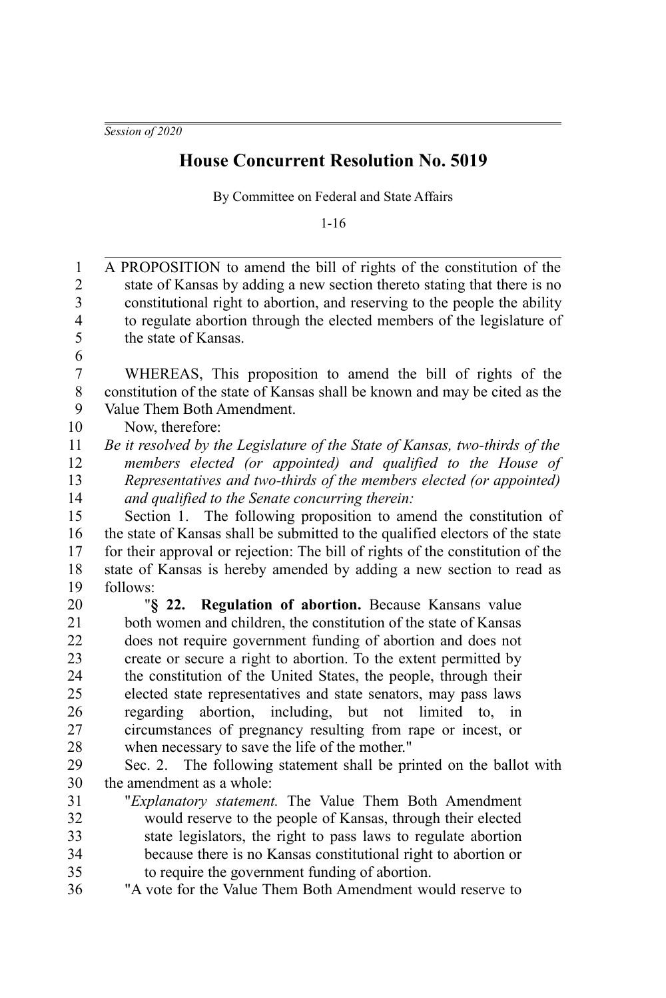## **House Concurrent Resolution No. 5019**

By Committee on Federal and State Affairs

1-16

| $\mathbf{1}$            | A PROPOSITION to amend the bill of rights of the constitution of the           |
|-------------------------|--------------------------------------------------------------------------------|
| $\boldsymbol{2}$        | state of Kansas by adding a new section thereto stating that there is no       |
| 3                       | constitutional right to abortion, and reserving to the people the ability      |
| $\overline{\mathbf{4}}$ | to regulate abortion through the elected members of the legislature of         |
| 5                       | the state of Kansas.                                                           |
| 6                       |                                                                                |
| $\overline{7}$          | WHEREAS, This proposition to amend the bill of rights of the                   |
| 8                       | constitution of the state of Kansas shall be known and may be cited as the     |
| 9                       | Value Them Both Amendment.                                                     |
| 10                      | Now, therefore:                                                                |
| 11                      | Be it resolved by the Legislature of the State of Kansas, two-thirds of the    |
| 12                      | members elected (or appointed) and qualified to the House of                   |
| 13                      | Representatives and two-thirds of the members elected (or appointed)           |
| 14                      | and qualified to the Senate concurring therein:                                |
| 15                      | Section 1. The following proposition to amend the constitution of              |
| 16                      | the state of Kansas shall be submitted to the qualified electors of the state  |
| 17                      | for their approval or rejection: The bill of rights of the constitution of the |
| 18                      | state of Kansas is hereby amended by adding a new section to read as           |
| 19                      | follows:                                                                       |
| 20                      | "§ 22. Regulation of abortion. Because Kansans value                           |
| 21                      | both women and children, the constitution of the state of Kansas               |
| 22                      | does not require government funding of abortion and does not                   |
| 23                      | create or secure a right to abortion. To the extent permitted by               |
| 24                      | the constitution of the United States, the people, through their               |
| 25                      | elected state representatives and state senators, may pass laws                |
| 26                      | regarding abortion, including, but not limited to,<br>in                       |
| 27                      | circumstances of pregnancy resulting from rape or incest, or                   |
| 28                      | when necessary to save the life of the mother."                                |
| 29                      | Sec. 2. The following statement shall be printed on the ballot with            |
| 30                      | the amendment as a whole:                                                      |
| 31                      | "Explanatory statement. The Value Them Both Amendment                          |
| 32                      | would reserve to the people of Kansas, through their elected                   |
| 33                      | state legislators, the right to pass laws to regulate abortion                 |
| 34                      | because there is no Kansas constitutional right to abortion or                 |
| 35                      | to require the government funding of abortion.                                 |
| 36                      | "A vote for the Value Them Both Amendment would reserve to                     |